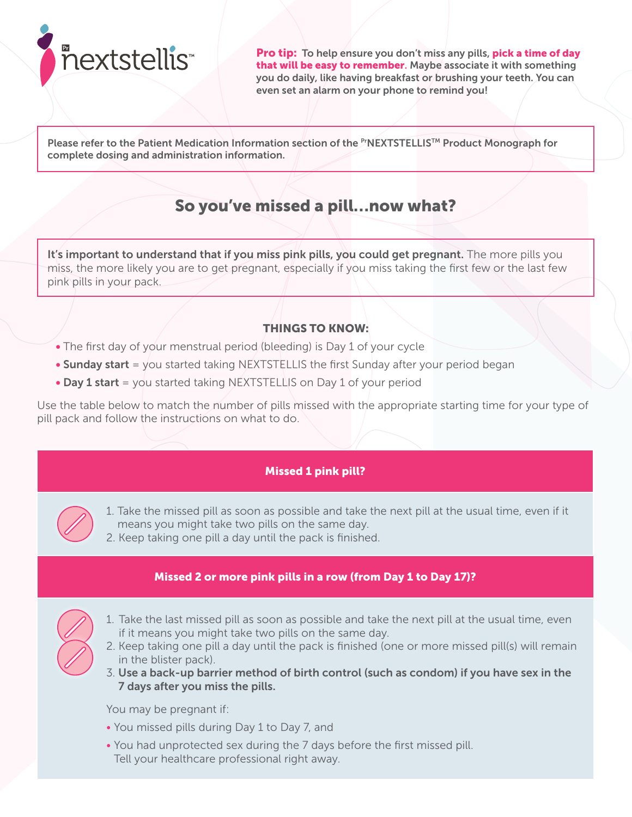

Pro tip: To help ensure you don't miss any pills, pick a time of day that will be easy to remember. Maybe associate it with something you do daily, like having breakfast or brushing your teeth. You can even set an alarm on your phone to remind you!

Please refer to the Patient Medication Information section of the PTNEXTSTELLIS™ Product Monograph for complete dosing and administration information.

# So you've missed a pill…now what?

It's important to understand that if you miss pink pills, you could get pregnant. The more pills you miss, the more likely you are to get pregnant, especially if you miss taking the first few or the last few pink pills in your pack.

# THINGS TO KNOW:

- The first day of your menstrual period (bleeding) is Day 1 of your cycle
- $\bullet$  Sunday start = you started taking NEXTSTELLIS the first Sunday after your period began
- Day 1 start = you started taking NEXTSTELLIS on Day 1 of your period

Use the table below to match the number of pills missed with the appropriate starting time for your type of pill pack and follow the instructions on what to do.

## Missed 1 pink pill?

- 1. Take the missed pill as soon as possible and take the next pill at the usual time, even if it means you might take two pills on the same day.
- 2. Keep taking one pill a day until the pack is finished.

## Missed 2 or more pink pills in a row (from Day 1 to Day 17)?

- 1. Take the last missed pill as soon as possible and take the next pill at the usual time, even if it means you might take two pills on the same day.
- 2. Keep taking one pill a day until the pack is finished (one or more missed pill(s) will remain in the blister pack).
- 3. Use a back-up barrier method of birth control (such as condom) if you have sex in the 7 days after you miss the pills.

You may be pregnant if:

- You missed pills during Day 1 to Day 7, and
- You had unprotected sex during the 7 days before the first missed pill. Tell your healthcare professional right away.